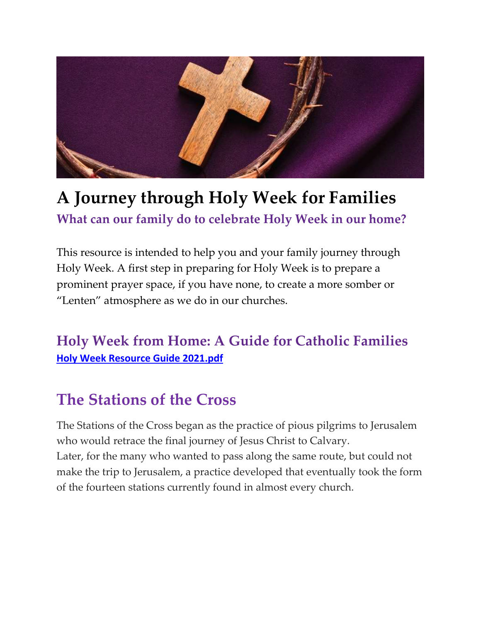

# **A Journey through Holy Week for Families What can our family do to celebrate Holy Week in our home?**

This resource is intended to help you and your family journey through Holy Week. A first step in preparing for Holy Week is to prepare a prominent prayer space, if you have none, to create a more somber or "Lenten" atmosphere as we do in our churches.

### **Holy Week from Home: A Guide for Catholic Families Holy Week Resource Guide 2021.pdf**

### **The Stations of the Cross**

The Stations of the Cross began as the practice of pious pilgrims to Jerusalem who would retrace the final journey of Jesus Christ to Calvary. Later, for the many who wanted to pass along the same route, but could not make the trip to Jerusalem, a practice developed that eventually took the form of the fourteen stations currently found in almost every church.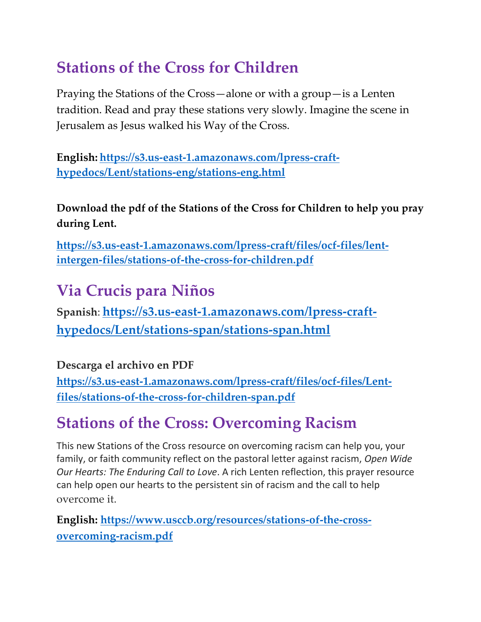## **Stations of the Cross for Children**

Praying the Stations of the Cross—alone or with a group—is a Lenten tradition. Read and pray these stations very slowly. Imagine the scene in Jerusalem as Jesus walked his Way of the Cross.

**English: https://s3.us-east-1.amazonaws.com/lpress-crafthypedocs/Lent/stations-eng/stations-eng.html**

**Download the pdf of the Stations of the Cross for Children to help you pray during Lent.**

**https://s3.us-east-1.amazonaws.com/lpress-craft/files/ocf-files/lentintergen-files/stations-of-the-cross-for-children.pdf**

## **Via Crucis para Niños**

**Spanish**: **https://s3.us-east-1.amazonaws.com/lpress-crafthypedocs/Lent/stations-span/stations-span.html**

**Descarga el archivo en PDF**

**https://s3.us-east-1.amazonaws.com/lpress-craft/files/ocf-files/Lentfiles/stations-of-the-cross-for-children-span.pdf**

## **Stations of the Cross: Overcoming Racism**

This new Stations of the Cross resource on overcoming racism can help you, your family, or faith community reflect on the pastoral letter against racism, *Open Wide Our Hearts: The Enduring Call to Love*. A rich Lenten reflection, this prayer resource can help open our hearts to the persistent sin of racism and the call to help overcome it.

**English: https://www.usccb.org/resources/stations-of-the-crossovercoming-racism.pdf**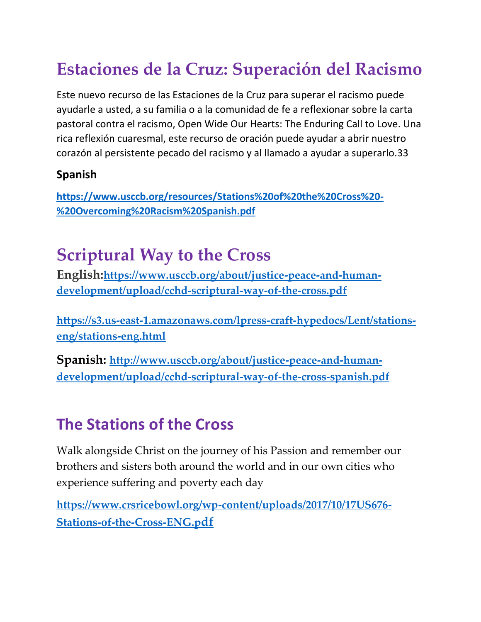# **Estaciones de la Cruz: Superación del Racismo**

Este nuevo recurso de las Estaciones de la Cruz para superar el racismo puede ayudarle a usted, a su familia o a la comunidad de fe a reflexionar sobre la carta pastoral contra el racismo, Open Wide Our Hearts: The Enduring Call to Love. Una rica reflexión cuaresmal, este recurso de oración puede ayudar a abrir nuestro corazón al persistente pecado del racismo y al llamado a ayudar a superarlo.33

#### **Spanish**

**https://www.usccb.org/resources/Stations%20of%20the%20Cross%20- %20Overcoming%20Racism%20Spanish.pdf**

# **Scriptural Way to the Cross**

**English:https://www.usccb.org/about/justice-peace-and-humandevelopment/upload/cchd-scriptural-way-of-the-cross.pdf**

**https://s3.us-east-1.amazonaws.com/lpress-craft-hypedocs/Lent/stationseng/stations-eng.html**

**Spanish: http://www.usccb.org/about/justice-peace-and-humandevelopment/upload/cchd-scriptural-way-of-the-cross-spanish.pdf**

### **The Stations of the Cross**

Walk alongside Christ on the journey of his Passion and remember our brothers and sisters both around the world and in our own cities who experience suffering and poverty each day

**https://www.crsricebowl.org/wp-content/uploads/2017/10/17US676- Stations-of-the-Cross-ENG.pdf**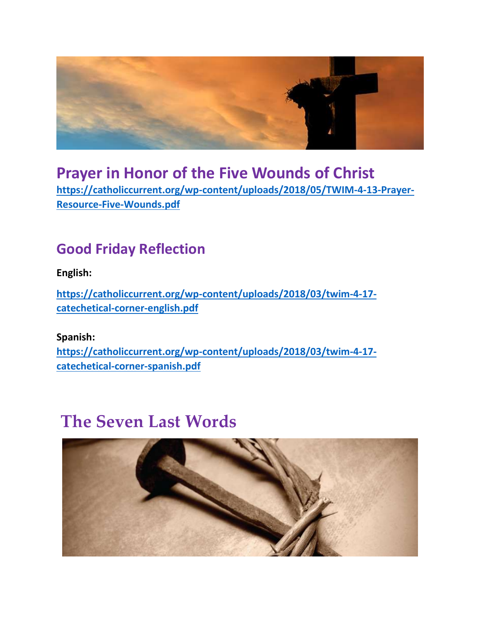

### **Prayer in Honor of the Five Wounds of Christ https://catholiccurrent.org/wp-content/uploads/2018/05/TWIM-4-13-Prayer-Resource-Five-Wounds.pdf**

### **Good Friday Reflection**

**English:**

**https://catholiccurrent.org/wp-content/uploads/2018/03/twim-4-17 catechetical-corner-english.pdf**

**Spanish: https://catholiccurrent.org/wp-content/uploads/2018/03/twim-4-17 catechetical-corner-spanish.pdf**

## **The Seven Last Words**